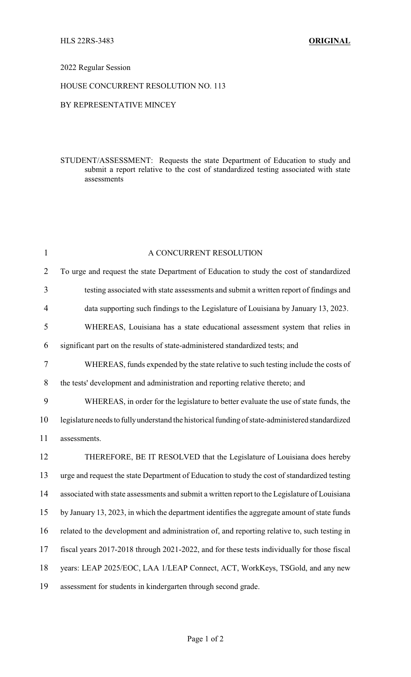# 2022 Regular Session

### HOUSE CONCURRENT RESOLUTION NO. 113

### BY REPRESENTATIVE MINCEY

### STUDENT/ASSESSMENT: Requests the state Department of Education to study and submit a report relative to the cost of standardized testing associated with state assessments

| $\mathbf{1}$   | A CONCURRENT RESOLUTION                                                                         |
|----------------|-------------------------------------------------------------------------------------------------|
| $\overline{2}$ | To urge and request the state Department of Education to study the cost of standardized         |
| 3              | testing associated with state assessments and submit a written report of findings and           |
| $\overline{4}$ | data supporting such findings to the Legislature of Louisiana by January 13, 2023.              |
| 5              | WHEREAS, Louisiana has a state educational assessment system that relies in                     |
| 6              | significant part on the results of state-administered standardized tests; and                   |
| $\tau$         | WHEREAS, funds expended by the state relative to such testing include the costs of              |
| 8              | the tests' development and administration and reporting relative thereto; and                   |
| 9              | WHEREAS, in order for the legislature to better evaluate the use of state funds, the            |
| 10             | legislature needs to fully understand the historical funding of state-administered standardized |
| 11             | assessments.                                                                                    |
| 12             | THEREFORE, BE IT RESOLVED that the Legislature of Louisiana does hereby                         |
| 13             | urge and request the state Department of Education to study the cost of standardized testing    |
| 14             | associated with state assessments and submit a written report to the Legislature of Louisiana   |
| 15             | by January 13, 2023, in which the department identifies the aggregate amount of state funds     |
| 16             | related to the development and administration of, and reporting relative to, such testing in    |
| 17             | fiscal years 2017-2018 through 2021-2022, and for these tests individually for those fiscal     |
| 18             | years: LEAP 2025/EOC, LAA 1/LEAP Connect, ACT, WorkKeys, TSGold, and any new                    |
| 19             | assessment for students in kindergarten through second grade.                                   |